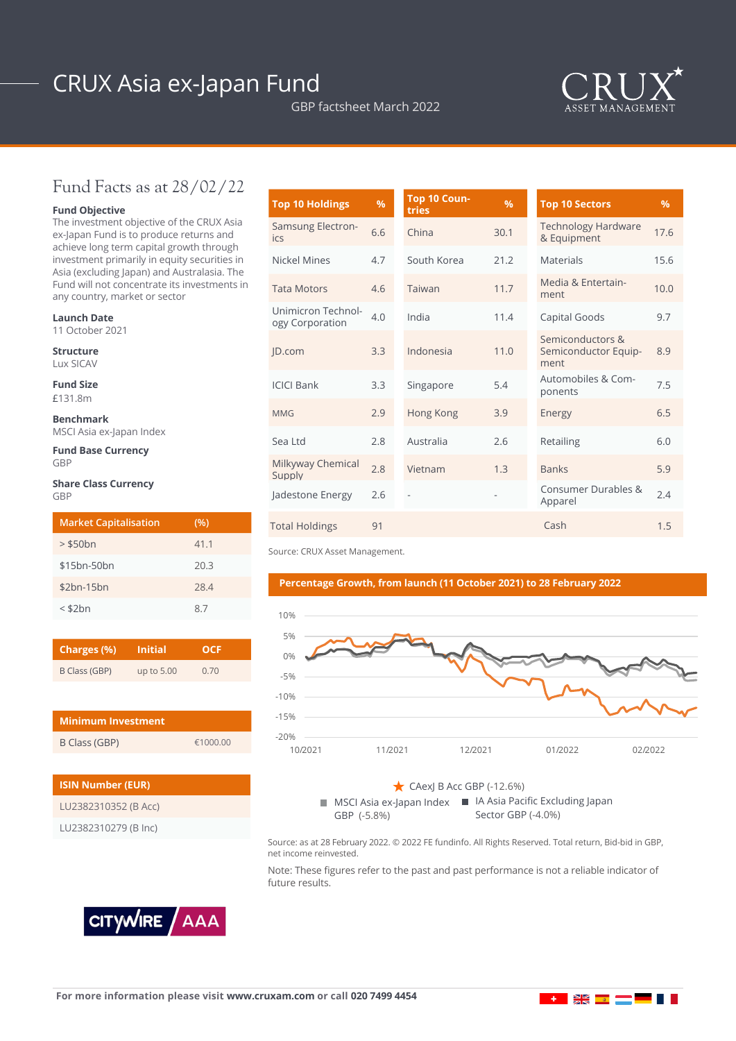# CRUX Asia ex-Japan Fund

GBP factsheet March 2022



## Fund Facts as at 28/02/22

### **Fund Objective**

The investment objective of the CRUX Asia ex-Japan Fund is to produce returns and achieve long term capital growth through investment primarily in equity securities in Asia (excluding Japan) and Australasia. The Fund will not concentrate its investments in any country, market or sector

#### **Launch Date**

11 October 2021

**Structure** Lux SICAV

**Fund Size**

£131.8m

**Benchmark** MSCI Asia ex-Japan Index

**Fund Base Currency GRP** 

#### **Share Class Currency** GBP

| <b>Market Capitalisation</b> | (%)  |
|------------------------------|------|
| $>$ \$50 $bn$                | 41.1 |
| \$15bn-50bn                  | 20.3 |
| $$2bn-15bn$                  | 28.4 |
| $<$ \$2 $bn$                 | 87   |

| Charges (%)   | <b>Initial</b> | OCF  |  |  |
|---------------|----------------|------|--|--|
| B Class (GBP) | up to 5.00     | 0.70 |  |  |

| <b>Minimum Investment</b> |          |  |  |  |
|---------------------------|----------|--|--|--|
| B Class (GBP)             | £1000.00 |  |  |  |

| <b>ISIN Number (EUR)</b> |  |  |  |  |
|--------------------------|--|--|--|--|
| LU2382310352 (B Acc)     |  |  |  |  |
| LU2382310279 (B Inc)     |  |  |  |  |

| <b>Top 10 Holdings</b>                | %   | Top 10 Coun-<br>tries | $\frac{9}{6}$ | <b>Top 10 Sectors</b>                            | $\frac{9}{6}$ |
|---------------------------------------|-----|-----------------------|---------------|--------------------------------------------------|---------------|
| Samsung Electron-<br>ics              | 6.6 | China                 | 30.1          | <b>Technology Hardware</b><br>& Equipment        | 17.6          |
| Nickel Mines                          | 4.7 | South Korea           | 21.2          | Materials                                        | 15.6          |
| <b>Tata Motors</b>                    | 4.6 | Taiwan                | 11.7          | Media & Entertain-<br>ment                       | 10.0          |
| Unimicron Technol-<br>ogy Corporation | 4.0 | India                 | 11.4          | Capital Goods                                    | 9.7           |
| ID.com                                | 3.3 | Indonesia             | 11.0          | Semiconductors &<br>Semiconductor Equip-<br>ment | 8.9           |
| <b>ICICI Bank</b>                     | 3.3 | Singapore             | 5.4           | Automobiles & Com-<br>ponents                    | 7.5           |
| <b>MMG</b>                            | 2.9 | Hong Kong             | 3.9           | Energy                                           | 6.5           |
| Sea Ltd                               | 2.8 | Australia             | 2.6           | Retailing                                        | 6.0           |
| Milkyway Chemical<br>Supply           | 2.8 | Vietnam               | 1.3           | <b>Banks</b>                                     | 5.9           |
| Jadestone Energy                      | 2.6 |                       |               | Consumer Durables &<br>Apparel                   | 2.4           |
| <b>Total Holdings</b>                 | 91  |                       |               | Cash                                             | 1.5           |

Source: CRUX Asset Management.

#### **Percentage Growth, from launch (11 October 2021) to 28 February 2022**





Source: as at 28 February 2022. © 2022 FE fundinfo. All Rights Reserved. Total return, Bid-bid in GBP, net income reinvested.

Note: These figures refer to the past and past performance is not a reliable indicator of future results.